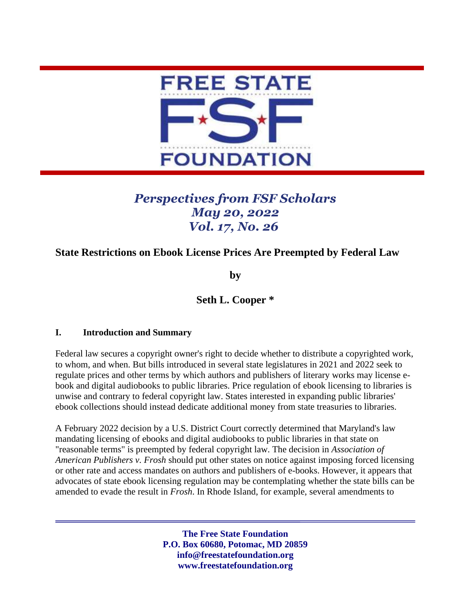

# *Perspectives from FSF Scholars May 20, 2022 Vol. 17, No. 26*

## **State Restrictions on Ebook License Prices Are Preempted by Federal Law**

**by**

### **Seth L. Cooper \***

#### **I. Introduction and Summary**

Federal law secures a copyright owner's right to decide whether to distribute a copyrighted work, to whom, and when. But bills introduced in several state legislatures in 2021 and 2022 seek to regulate prices and other terms by which authors and publishers of literary works may license ebook and digital audiobooks to public libraries. Price regulation of ebook licensing to libraries is unwise and contrary to federal copyright law. States interested in expanding public libraries' ebook collections should instead dedicate additional money from state treasuries to libraries.

A February 2022 decision by a U.S. District Court correctly determined that Maryland's law mandating licensing of ebooks and digital audiobooks to public libraries in that state on "reasonable terms" is preempted by federal copyright law. The decision in *Association of American Publishers v. Frosh* should put other states on notice against imposing forced licensing or other rate and access mandates on authors and publishers of e-books. However, it appears that advocates of state ebook licensing regulation may be contemplating whether the state bills can be amended to evade the result in *Frosh*. In Rhode Island, for example, several amendments to

> **The Free State Foundation P.O. Box 60680, Potomac, MD 20859 info@freestatefoundation.org www.freestatefoundation.org**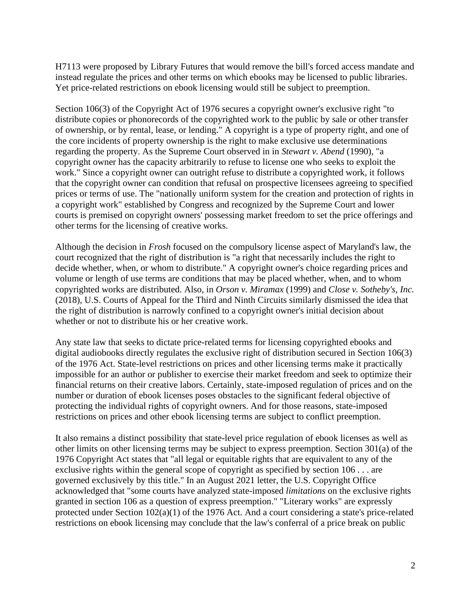H7113 were proposed by Library Futures that would remove the bill's forced access mandate and instead regulate the prices and other terms on which ebooks may be licensed to public libraries. Yet price-related restrictions on ebook licensing would still be subject to preemption.

Section 106(3) of the Copyright Act of 1976 secures a copyright owner's exclusive right "to distribute copies or phonorecords of the copyrighted work to the public by sale or other transfer of ownership, or by rental, lease, or lending." A copyright is a type of property right, and one of the core incidents of property ownership is the right to make exclusive use determinations regarding the property. As the Supreme Court observed in in *Stewart v. Abend* (1990), "a copyright owner has the capacity arbitrarily to refuse to license one who seeks to exploit the work." Since a copyright owner can outright refuse to distribute a copyrighted work, it follows that the copyright owner can condition that refusal on prospective licensees agreeing to specified prices or terms of use. The "nationally uniform system for the creation and protection of rights in a copyright work" established by Congress and recognized by the Supreme Court and lower courts is premised on copyright owners' possessing market freedom to set the price offerings and other terms for the licensing of creative works.

Although the decision in *Frosh* focused on the compulsory license aspect of Maryland's law, the court recognized that the right of distribution is "a right that necessarily includes the right to decide whether, when, or whom to distribute." A copyright owner's choice regarding prices and volume or length of use terms are conditions that may be placed whether, when, and to whom copyrighted works are distributed. Also, in *Orson v. Miramax* (1999) and *Close v. Sotheby's, Inc.* (2018), U.S. Courts of Appeal for the Third and Ninth Circuits similarly dismissed the idea that the right of distribution is narrowly confined to a copyright owner's initial decision about whether or not to distribute his or her creative work.

Any state law that seeks to dictate price-related terms for licensing copyrighted ebooks and digital audiobooks directly regulates the exclusive right of distribution secured in Section 106(3) of the 1976 Act. State-level restrictions on prices and other licensing terms make it practically impossible for an author or publisher to exercise their market freedom and seek to optimize their financial returns on their creative labors. Certainly, state-imposed regulation of prices and on the number or duration of ebook licenses poses obstacles to the significant federal objective of protecting the individual rights of copyright owners. And for those reasons, state-imposed restrictions on prices and other ebook licensing terms are subject to conflict preemption.

It also remains a distinct possibility that state-level price regulation of ebook licenses as well as other limits on other licensing terms may be subject to express preemption. Section 301(a) of the 1976 Copyright Act states that "all legal or equitable rights that are equivalent to any of the exclusive rights within the general scope of copyright as specified by section 106 . . . are governed exclusively by this title." In an August 2021 letter, the U.S. Copyright Office acknowledged that "some courts have analyzed state-imposed *limitations* on the exclusive rights granted in section 106 as a question of express preemption." "Literary works" are expressly protected under Section 102(a)(1) of the 1976 Act. And a court considering a state's price-related restrictions on ebook licensing may conclude that the law's conferral of a price break on public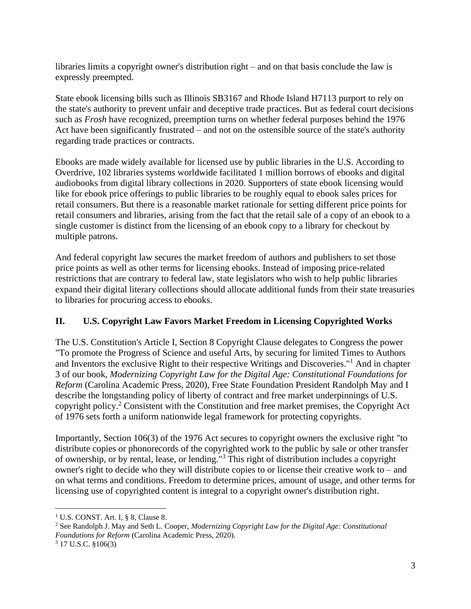libraries limits a copyright owner's distribution right – and on that basis conclude the law is expressly preempted.

State ebook licensing bills such as Illinois SB3167 and Rhode Island H7113 purport to rely on the state's authority to prevent unfair and deceptive trade practices. But as federal court decisions such as *Frosh* have recognized, preemption turns on whether federal purposes behind the 1976 Act have been significantly frustrated – and not on the ostensible source of the state's authority regarding trade practices or contracts.

Ebooks are made widely available for licensed use by public libraries in the U.S. According to Overdrive, 102 libraries systems worldwide facilitated 1 million borrows of ebooks and digital audiobooks from digital library collections in 2020. Supporters of state ebook licensing would like for ebook price offerings to public libraries to be roughly equal to ebook sales prices for retail consumers. But there is a reasonable market rationale for setting different price points for retail consumers and libraries, arising from the fact that the retail sale of a copy of an ebook to a single customer is distinct from the licensing of an ebook copy to a library for checkout by multiple patrons.

And federal copyright law secures the market freedom of authors and publishers to set those price points as well as other terms for licensing ebooks. Instead of imposing price-related restrictions that are contrary to federal law, state legislators who wish to help public libraries expand their digital literary collections should allocate additional funds from their state treasuries to libraries for procuring access to ebooks.

### **II. U.S. Copyright Law Favors Market Freedom in Licensing Copyrighted Works**

The U.S. Constitution's Article I, Section 8 Copyright Clause delegates to Congress the power "To promote the Progress of Science and useful Arts, by securing for limited Times to Authors and Inventors the exclusive Right to their respective Writings and Discoveries."<sup>1</sup> And in chapter 3 of our book, *Modernizing Copyright Law for the Digital Age: Constitutional Foundations for Reform* (Carolina Academic Press, 2020), Free State Foundation President Randolph May and I describe the longstanding policy of liberty of contract and free market underpinnings of U.S. copyright policy.<sup>2</sup> Consistent with the Constitution and free market premises, the Copyright Act of 1976 sets forth a uniform nationwide legal framework for protecting copyrights.

Importantly, Section 106(3) of the 1976 Act secures to copyright owners the exclusive right "to distribute copies or phonorecords of the copyrighted work to the public by sale or other transfer of ownership, or by rental, lease, or lending."<sup>3</sup> This right of distribution includes a copyright owner's right to decide who they will distribute copies to or license their creative work to – and on what terms and conditions. Freedom to determine prices, amount of usage, and other terms for licensing use of copyrighted content is integral to a copyright owner's distribution right.

 $1 \text{ U.S. CONST. Art. I, }$  § 8, Clause 8.

<sup>2</sup> See Randolph J. May and Seth L. Cooper, *Modernizing Copyright Law for the Digital Age: Constitutional Foundations for Reform* (Carolina Academic Press, 2020).

<sup>3</sup> 17 U.S.C. §106(3)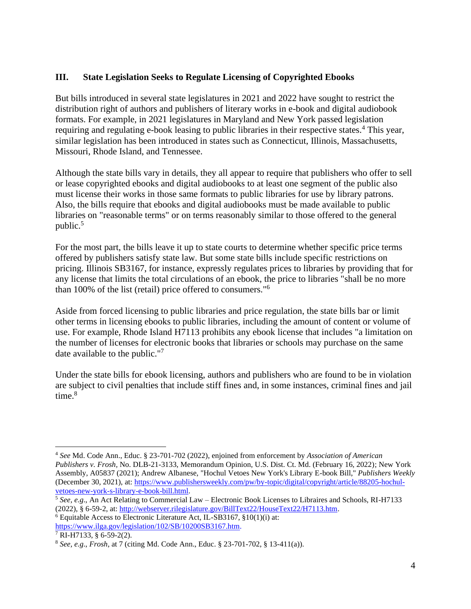#### **III. State Legislation Seeks to Regulate Licensing of Copyrighted Ebooks**

But bills introduced in several state legislatures in 2021 and 2022 have sought to restrict the distribution right of authors and publishers of literary works in e-book and digital audiobook formats. For example, in 2021 legislatures in Maryland and New York passed legislation requiring and regulating e-book leasing to public libraries in their respective states.<sup>4</sup> This year, similar legislation has been introduced in states such as Connecticut, Illinois, Massachusetts, Missouri, Rhode Island, and Tennessee.

Although the state bills vary in details, they all appear to require that publishers who offer to sell or lease copyrighted ebooks and digital audiobooks to at least one segment of the public also must license their works in those same formats to public libraries for use by library patrons. Also, the bills require that ebooks and digital audiobooks must be made available to public libraries on "reasonable terms" or on terms reasonably similar to those offered to the general public.<sup>5</sup>

For the most part, the bills leave it up to state courts to determine whether specific price terms offered by publishers satisfy state law. But some state bills include specific restrictions on pricing. Illinois SB3167, for instance, expressly regulates prices to libraries by providing that for any license that limits the total circulations of an ebook, the price to libraries "shall be no more than 100% of the list (retail) price offered to consumers."<sup>6</sup>

Aside from forced licensing to public libraries and price regulation, the state bills bar or limit other terms in licensing ebooks to public libraries, including the amount of content or volume of use. For example, Rhode Island H7113 prohibits any ebook license that includes "a limitation on the number of licenses for electronic books that libraries or schools may purchase on the same date available to the public."<sup>7</sup>

Under the state bills for ebook licensing, authors and publishers who are found to be in violation are subject to civil penalties that include stiff fines and, in some instances, criminal fines and jail time. 8

 $6$  Equitable Access to Electronic Literature Act, IL-SB3167,  $$10(1)(i)$  at: [https://www.ilga.gov/legislation/102/SB/10200SB3167.htm.](https://www.ilga.gov/legislation/102/SB/10200SB3167.htm)

<sup>4</sup> *See* Md. Code Ann., Educ. § 23-701-702 (2022), enjoined from enforcement by *Association of American Publishers v. Frosh,* No. DLB-21-3133, Memorandum Opinion, U.S. Dist. Ct. Md. (February 16, 2022); New York Assembly, A05837 (2021); Andrew Albanese, "Hochul Vetoes New York's Library E-book Bill," *Publishers Weekly*  (December 30, 2021), at[: https://www.publishersweekly.com/pw/by-topic/digital/copyright/article/88205-hochul](https://www.publishersweekly.com/pw/by-topic/digital/copyright/article/88205-hochul-vetoes-new-york-s-library-e-book-bill.html)[vetoes-new-york-s-library-e-book-bill.html.](https://www.publishersweekly.com/pw/by-topic/digital/copyright/article/88205-hochul-vetoes-new-york-s-library-e-book-bill.html)

<sup>5</sup> *See, e.g*., An Act Relating to Commercial Law – Electronic Book Licenses to Libraires and Schools, RI-H7133 (2022), § 6-59-2, at: [http://webserver.rilegislature.gov/BillText22/HouseText22/H7113.htm.](http://webserver.rilegislature.gov/BillText22/HouseText22/H7113.htm)

 $7$  RI-H7133, § 6-59-2(2).

<sup>8</sup> *See, e.g*., *Frosh*, at 7 (citing Md. Code Ann., Educ. § 23-701-702, § 13-411(a)).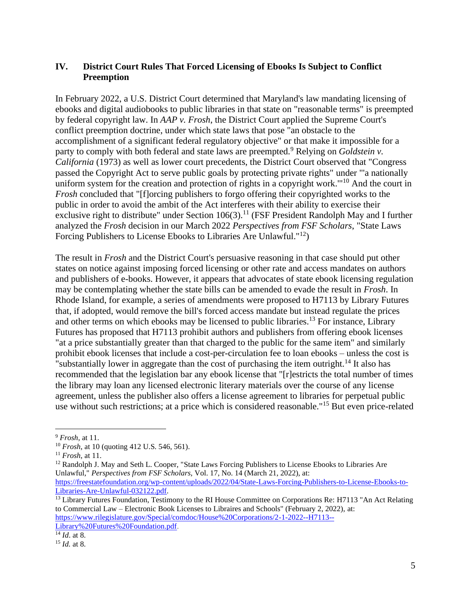#### **IV. District Court Rules That Forced Licensing of Ebooks Is Subject to Conflict Preemption**

In February 2022, a U.S. District Court determined that Maryland's law mandating licensing of ebooks and digital audiobooks to public libraries in that state on "reasonable terms" is preempted by federal copyright law. In *AAP v. Frosh*, the District Court applied the Supreme Court's conflict preemption doctrine, under which state laws that pose "an obstacle to the accomplishment of a significant federal regulatory objective" or that make it impossible for a party to comply with both federal and state laws are preempted.<sup>9</sup> Relying on *Goldstein v*. *California* (1973) as well as lower court precedents, the District Court observed that "Congress passed the Copyright Act to serve public goals by protecting private rights" under "'a nationally uniform system for the creation and protection of rights in a copyright work."<sup>10</sup> And the court in *Frosh* concluded that "[f]orcing publishers to forgo offering their copyrighted works to the public in order to avoid the ambit of the Act interferes with their ability to exercise their exclusive right to distribute" under Section  $106(3)$ .<sup>11</sup> (FSF President Randolph May and I further analyzed the *Frosh* decision in our March 2022 *Perspectives from FSF Scholars*, "State Laws Forcing Publishers to License Ebooks to Libraries Are Unlawful."<sup>12</sup>)

The result in *Frosh* and the District Court's persuasive reasoning in that case should put other states on notice against imposing forced licensing or other rate and access mandates on authors and publishers of e-books. However, it appears that advocates of state ebook licensing regulation may be contemplating whether the state bills can be amended to evade the result in *Frosh*. In Rhode Island, for example, a series of amendments were proposed to H7113 by Library Futures that, if adopted, would remove the bill's forced access mandate but instead regulate the prices and other terms on which ebooks may be licensed to public libraries.<sup>13</sup> For instance, Library Futures has proposed that H7113 prohibit authors and publishers from offering ebook licenses "at a price substantially greater than that charged to the public for the same item" and similarly prohibit ebook licenses that include a cost-per-circulation fee to loan ebooks – unless the cost is "substantially lower in aggregate than the cost of purchasing the item outright.<sup>14</sup> It also has recommended that the legislation bar any ebook license that "[r]estricts the total number of times the library may loan any licensed electronic literary materials over the course of any license agreement, unless the publisher also offers a license agreement to libraries for perpetual public use without such restrictions; at a price which is considered reasonable."<sup>15</sup> But even price-related

<sup>12</sup> Randolph J. May and Seth L. Cooper, "State Laws Forcing Publishers to License Ebooks to Libraries Are Unlawful," *Perspectives from FSF Scholars,* Vol. 17, No. 14 (March 21, 2022), at:

[Library%20Futures%20Foundation.pdf.](https://www.rilegislature.gov/Special/comdoc/House%20Corporations/2-1-2022--H7113--Library%20Futures%20Foundation.pdf)

<sup>9</sup> *Frosh*, at 11.

<sup>10</sup> *Frosh*, at 10 (quoting 412 U.S. 546, 561).

<sup>11</sup> *Frosh*, at 11.

[https://freestatefoundation.org/wp-content/uploads/2022/04/State-Laws-Forcing-Publishers-to-License-Ebooks-to-](https://freestatefoundation.org/wp-content/uploads/2022/04/State-Laws-Forcing-Publishers-to-License-Ebooks-to-Libraries-Are-Unlawful-032122.pdf)[Libraries-Are-Unlawful-032122.pdf.](https://freestatefoundation.org/wp-content/uploads/2022/04/State-Laws-Forcing-Publishers-to-License-Ebooks-to-Libraries-Are-Unlawful-032122.pdf)

<sup>&</sup>lt;sup>13</sup> Library Futures Foundation, Testimony to the RI House Committee on Corporations Re: H7113 "An Act Relating to Commercial Law – Electronic Book Licenses to Libraires and Schools" (February 2, 2022), at: [https://www.rilegislature.gov/Special/comdoc/House%20Corporations/2-1-2022--H7113--](https://www.rilegislature.gov/Special/comdoc/House%20Corporations/2-1-2022--H7113--Library%20Futures%20Foundation.pdf)

<sup>14</sup> *Id*. at 8.

<sup>15</sup> *Id.* at 8.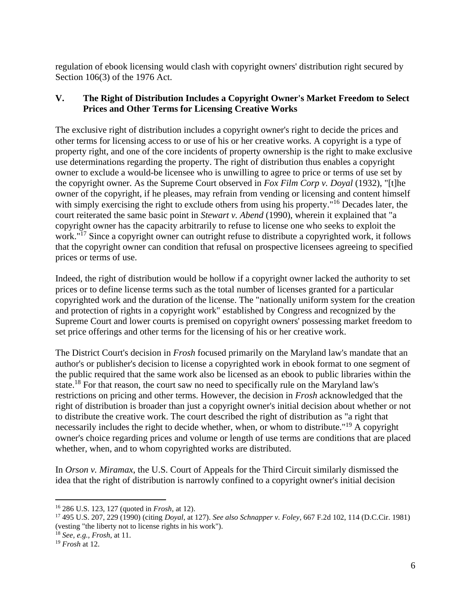regulation of ebook licensing would clash with copyright owners' distribution right secured by Section 106(3) of the 1976 Act.

#### **V. The Right of Distribution Includes a Copyright Owner's Market Freedom to Select Prices and Other Terms for Licensing Creative Works**

The exclusive right of distribution includes a copyright owner's right to decide the prices and other terms for licensing access to or use of his or her creative works. A copyright is a type of property right, and one of the core incidents of property ownership is the right to make exclusive use determinations regarding the property. The right of distribution thus enables a copyright owner to exclude a would-be licensee who is unwilling to agree to price or terms of use set by the copyright owner. As the Supreme Court observed in *Fox Film Corp v. Doyal* (1932), "[t]he owner of the copyright, if he pleases, may refrain from vending or licensing and content himself with simply exercising the right to exclude others from using his property."<sup>16</sup> Decades later, the court reiterated the same basic point in *Stewart v. Abend* (1990), wherein it explained that "a copyright owner has the capacity arbitrarily to refuse to license one who seeks to exploit the work."<sup>17</sup> Since a copyright owner can outright refuse to distribute a copyrighted work, it follows that the copyright owner can condition that refusal on prospective licensees agreeing to specified prices or terms of use.

Indeed, the right of distribution would be hollow if a copyright owner lacked the authority to set prices or to define license terms such as the total number of licenses granted for a particular copyrighted work and the duration of the license. The "nationally uniform system for the creation and protection of rights in a copyright work" established by Congress and recognized by the Supreme Court and lower courts is premised on copyright owners' possessing market freedom to set price offerings and other terms for the licensing of his or her creative work.

The District Court's decision in *Frosh* focused primarily on the Maryland law's mandate that an author's or publisher's decision to license a copyrighted work in ebook format to one segment of the public required that the same work also be licensed as an ebook to public libraries within the state.<sup>18</sup> For that reason, the court saw no need to specifically rule on the Maryland law's restrictions on pricing and other terms. However, the decision in *Frosh* acknowledged that the right of distribution is broader than just a copyright owner's initial decision about whether or not to distribute the creative work. The court described the right of distribution as "a right that necessarily includes the right to decide whether, when, or whom to distribute.<sup>"19</sup> A copyright owner's choice regarding prices and volume or length of use terms are conditions that are placed whether, when, and to whom copyrighted works are distributed.

In *Orson v. Miramax*, the U.S. Court of Appeals for the Third Circuit similarly dismissed the idea that the right of distribution is narrowly confined to a copyright owner's initial decision

<sup>16</sup> 286 U.S. 123, 127 (quoted in *Frosh*, at 12).

<sup>17</sup> 495 U.S. 207, 229 (1990) (citing *Doyal*, at 127). *See also Schnapper v. Foley*, 667 F.2d 102, 114 (D.C.Cir. 1981) (vesting "the liberty not to license rights in his work").

<sup>18</sup> *See, e.g., Frosh*, at 11.

<sup>19</sup> *Frosh* at 12.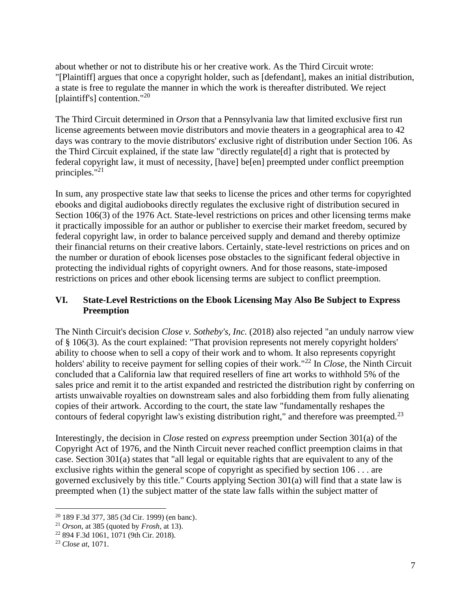about whether or not to distribute his or her creative work. As the Third Circuit wrote: "[Plaintiff] argues that once a copyright holder, such as [defendant], makes an initial distribution, a state is free to regulate the manner in which the work is thereafter distributed. We reject [plaintiff's] contention."<sup>20</sup>

The Third Circuit determined in *Orson* that a Pennsylvania law that limited exclusive first run license agreements between movie distributors and movie theaters in a geographical area to 42 days was contrary to the movie distributors' exclusive right of distribution under Section 106. As the Third Circuit explained, if the state law "directly regulate[d] a right that is protected by federal copyright law, it must of necessity, [have] be[en] preempted under conflict preemption principles."<sup>21</sup>

In sum, any prospective state law that seeks to license the prices and other terms for copyrighted ebooks and digital audiobooks directly regulates the exclusive right of distribution secured in Section 106(3) of the 1976 Act. State-level restrictions on prices and other licensing terms make it practically impossible for an author or publisher to exercise their market freedom, secured by federal copyright law, in order to balance perceived supply and demand and thereby optimize their financial returns on their creative labors. Certainly, state-level restrictions on prices and on the number or duration of ebook licenses pose obstacles to the significant federal objective in protecting the individual rights of copyright owners. And for those reasons, state-imposed restrictions on prices and other ebook licensing terms are subject to conflict preemption.

#### **VI. State-Level Restrictions on the Ebook Licensing May Also Be Subject to Express Preemption**

The Ninth Circuit's decision *Close v. Sotheby's, Inc.* (2018) also rejected "an unduly narrow view of § 106(3). As the court explained: "That provision represents not merely copyright holders' ability to choose when to sell a copy of their work and to whom. It also represents copyright holders' ability to receive payment for selling copies of their work."<sup>22</sup> In *Close*, the Ninth Circuit concluded that a California law that required resellers of fine art works to withhold 5% of the sales price and remit it to the artist expanded and restricted the distribution right by conferring on artists unwaivable royalties on downstream sales and also forbidding them from fully alienating copies of their artwork. According to the court, the state law "fundamentally reshapes the contours of federal copyright law's existing distribution right," and therefore was preempted. $^{23}$ 

Interestingly, the decision in *Close* rested on *express* preemption under Section 301(a) of the Copyright Act of 1976, and the Ninth Circuit never reached conflict preemption claims in that case. Section 301(a) states that "all legal or equitable rights that are equivalent to any of the exclusive rights within the general scope of copyright as specified by section 106 . . . are governed exclusively by this title." Courts applying Section 301(a) will find that a state law is preempted when (1) the subject matter of the state law falls within the subject matter of

<sup>20</sup> 189 F.3d 377, 385 (3d Cir. 1999) (en banc).

<sup>21</sup> *Orson*, at 385 (quoted by *Frosh*, at 13).

<sup>22</sup> 894 F.3d 1061, 1071 (9th Cir. 2018).

<sup>23</sup> *Close at*, 1071.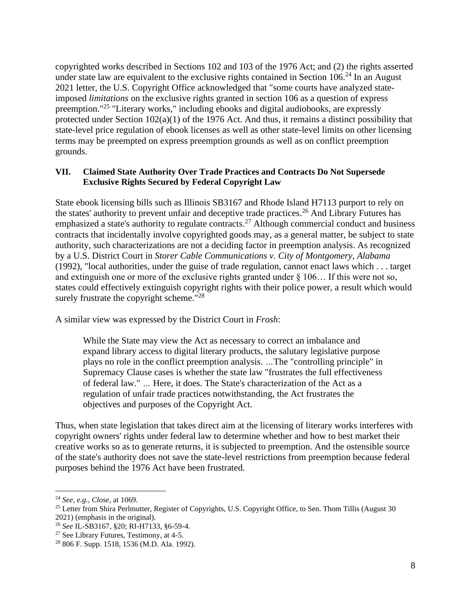copyrighted works described in Sections 102 and 103 of the 1976 Act; and (2) the rights asserted under state law are equivalent to the exclusive rights contained in Section  $106<sup>24</sup>$  In an August 2021 letter, the U.S. Copyright Office acknowledged that "some courts have analyzed stateimposed *limitations* on the exclusive rights granted in section 106 as a question of express preemption."<sup>25</sup> "Literary works," including ebooks and digital audiobooks, are expressly protected under Section 102(a)(1) of the 1976 Act. And thus, it remains a distinct possibility that state-level price regulation of ebook licenses as well as other state-level limits on other licensing terms may be preempted on express preemption grounds as well as on conflict preemption grounds.

#### **VII. Claimed State Authority Over Trade Practices and Contracts Do Not Supersede Exclusive Rights Secured by Federal Copyright Law**

State ebook licensing bills such as Illinois SB3167 and Rhode Island H7113 purport to rely on the states' authority to prevent unfair and deceptive trade practices.<sup>26</sup> And Library Futures has emphasized a state's authority to regulate contracts.<sup>27</sup> Although commercial conduct and business contracts that incidentally involve copyrighted goods may, as a general matter, be subject to state authority, such characterizations are not a deciding factor in preemption analysis. As recognized by a U.S. District Court in *Storer Cable Communications v. City of Montgomery, Alabama*  (1992), "local authorities, under the guise of trade regulation, cannot enact laws which . . . target and extinguish one or more of the exclusive rights granted under § 106… If this were not so, states could effectively extinguish copyright rights with their police power, a result which would surely frustrate the copyright scheme."<sup>28</sup>

A similar view was expressed by the District Court in *Frosh*:

While the State may view the Act as necessary to correct an imbalance and expand library access to digital literary products, the salutary legislative purpose plays no role in the conflict preemption analysis. *…*The "controlling principle" in Supremacy Clause cases is whether the state law "frustrates the full effectiveness of federal law." *…* Here, it does. The State's characterization of the Act as a regulation of unfair trade practices notwithstanding, the Act frustrates the objectives and purposes of the Copyright Act.

Thus, when state legislation that takes direct aim at the licensing of literary works interferes with copyright owners' rights under federal law to determine whether and how to best market their creative works so as to generate returns, it is subjected to preemption. And the ostensible source of the state's authority does not save the state-level restrictions from preemption because federal purposes behind the 1976 Act have been frustrated.

<sup>24</sup> *See, e.g., Close*, at 1069.

<sup>&</sup>lt;sup>25</sup> Letter from Shira Perlmutter, Register of Copyrights, U.S. Copyright Office, to Sen. Thom Tillis (August 30

<sup>2021) (</sup>emphasis in the original).

<sup>26</sup> *See* IL-SB3167, §20; RI-H7133, §6-59-4.

 $27$  See Library Futures, Testimony, at 4-5.

<sup>28</sup> 806 F. Supp. 1518, 1536 (M.D. Ala. 1992).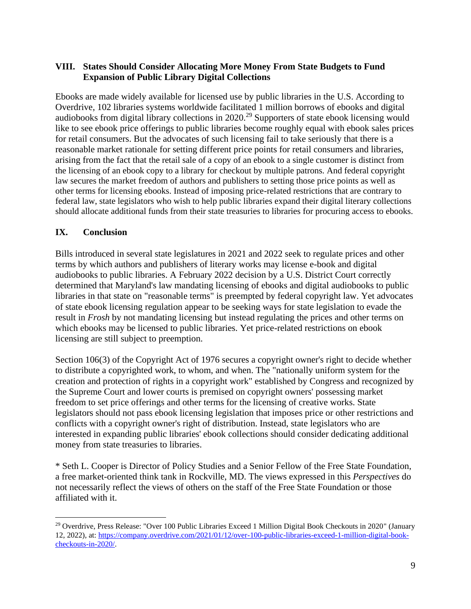#### **VIII. States Should Consider Allocating More Money From State Budgets to Fund Expansion of Public Library Digital Collections**

Ebooks are made widely available for licensed use by public libraries in the U.S. According to Overdrive, 102 libraries systems worldwide facilitated 1 million borrows of ebooks and digital audiobooks from digital library collections in 2020.<sup>29</sup> Supporters of state ebook licensing would like to see ebook price offerings to public libraries become roughly equal with ebook sales prices for retail consumers. But the advocates of such licensing fail to take seriously that there is a reasonable market rationale for setting different price points for retail consumers and libraries, arising from the fact that the retail sale of a copy of an ebook to a single customer is distinct from the licensing of an ebook copy to a library for checkout by multiple patrons. And federal copyright law secures the market freedom of authors and publishers to setting those price points as well as other terms for licensing ebooks. Instead of imposing price-related restrictions that are contrary to federal law, state legislators who wish to help public libraries expand their digital literary collections should allocate additional funds from their state treasuries to libraries for procuring access to ebooks.

#### **IX. Conclusion**

Bills introduced in several state legislatures in 2021 and 2022 seek to regulate prices and other terms by which authors and publishers of literary works may license e-book and digital audiobooks to public libraries. A February 2022 decision by a U.S. District Court correctly determined that Maryland's law mandating licensing of ebooks and digital audiobooks to public libraries in that state on "reasonable terms" is preempted by federal copyright law. Yet advocates of state ebook licensing regulation appear to be seeking ways for state legislation to evade the result in *Frosh* by not mandating licensing but instead regulating the prices and other terms on which ebooks may be licensed to public libraries. Yet price-related restrictions on ebook licensing are still subject to preemption.

Section 106(3) of the Copyright Act of 1976 secures a copyright owner's right to decide whether to distribute a copyrighted work, to whom, and when. The "nationally uniform system for the creation and protection of rights in a copyright work" established by Congress and recognized by the Supreme Court and lower courts is premised on copyright owners' possessing market freedom to set price offerings and other terms for the licensing of creative works. State legislators should not pass ebook licensing legislation that imposes price or other restrictions and conflicts with a copyright owner's right of distribution. Instead, state legislators who are interested in expanding public libraries' ebook collections should consider dedicating additional money from state treasuries to libraries.

\* Seth L. Cooper is Director of Policy Studies and a Senior Fellow of the Free State Foundation, a free market-oriented think tank in Rockville, MD. The views expressed in this *Perspectives* do not necessarily reflect the views of others on the staff of the Free State Foundation or those affiliated with it.

<sup>&</sup>lt;sup>29</sup> Overdrive, Press Release: "Over 100 Public Libraries Exceed 1 Million Digital Book Checkouts in 2020" (January 12, 2022), at: [https://company.overdrive.com/2021/01/12/over-100-public-libraries-exceed-1-million-digital-book](https://company.overdrive.com/2021/01/12/over-100-public-libraries-exceed-1-million-digital-book-checkouts-in-2020/)[checkouts-in-2020/.](https://company.overdrive.com/2021/01/12/over-100-public-libraries-exceed-1-million-digital-book-checkouts-in-2020/)